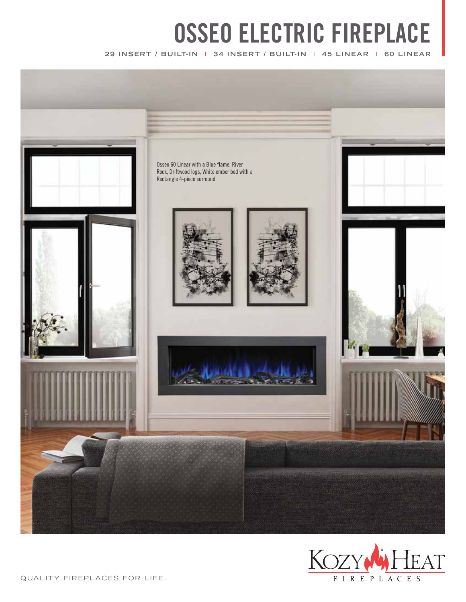# **OSSEO ELECTRIC FIREPLACE**

**2 9 IN S E R T / BU I LT- IN** I **3 4 IN S E R T / BU I LT- IN** I **45 LINEAR** I **60 LINEAR**



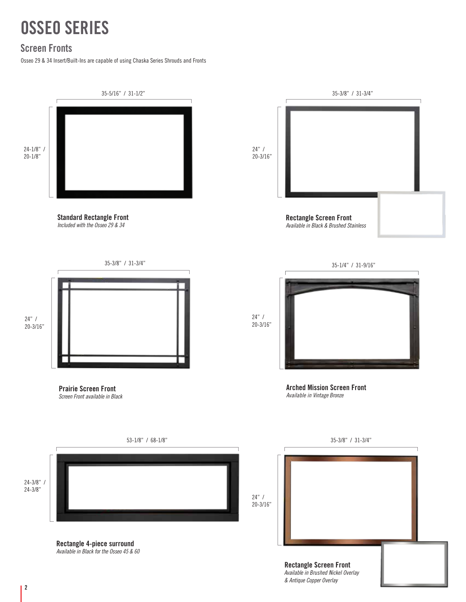#### **Screen Fronts**

Osseo 29 & 34 Insert/Built-Ins are capable of using Chaska Series Shrouds and Fronts

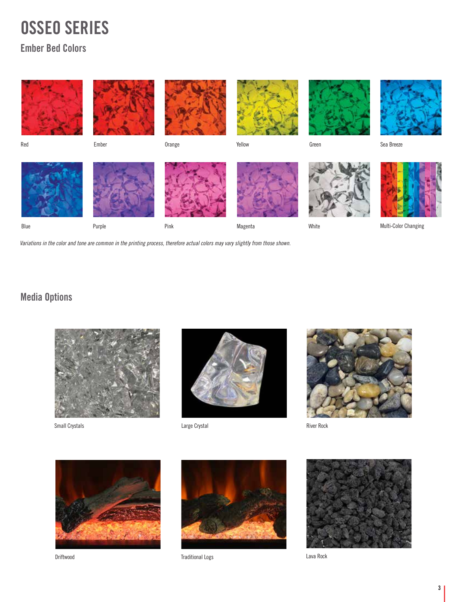#### **Ember Bed Colors**



*Variations in the color and tone are common in the printing process, therefore actual colors may vary slightly from those shown.*

### **Media Options**



Small Crystals **Calculation** Controller Large Crystal





River Rock







Driftwood Traditional Logs



Lava Rock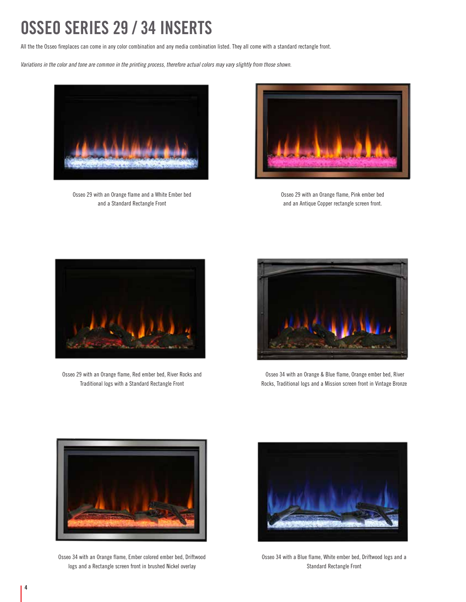## **OSSEO SERIES 29 / 34 INSERTS**

All the the Osseo fireplaces can come in any color combination and any media combination listed. They all come with a standard rectangle front.

*Variations in the color and tone are common in the printing process, therefore actual colors may vary slightly from those shown.*



Osseo 29 with an Orange flame and a White Ember bed and a Standard Rectangle Front



Osseo 29 with an Orange flame, Pink ember bed and an Antique Copper rectangle screen front.



Osseo 29 with an Orange flame, Red ember bed, River Rocks and Traditional logs with a Standard Rectangle Front



 Osseo 34 with an Orange & Blue flame, Orange ember bed, River Rocks, Traditional logs and a Mission screen front in Vintage Bronze



Osseo 34 with an Orange flame, Ember colored ember bed, Driftwood logs and a Rectangle screen front in brushed Nickel overlay



Osseo 34 with a Blue flame, White ember bed, Driftwood logs and a Standard Rectangle Front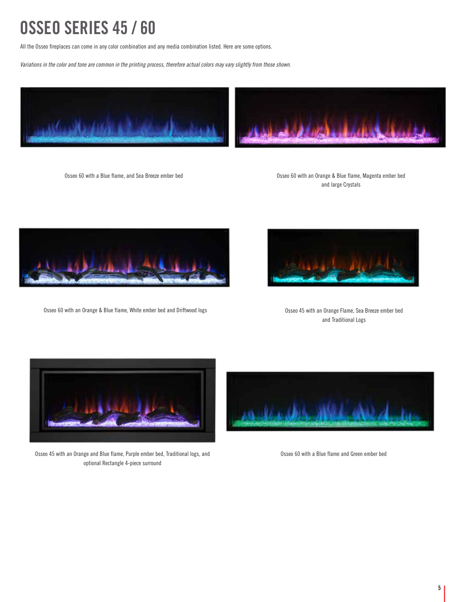## **OSSEO SERIES 45 / 60**

All the Osseo fireplaces can come in any color combination and any media combination listed. Here are some options.

*Variations in the color and tone are common in the printing process, therefore actual colors may vary slightly from those shown.*

![](_page_4_Picture_3.jpeg)

Osseo 60 with a Blue flame, and Sea Breeze ember bed

Osseo 60 with an Orange & Blue flame, Magenta ember bed and large Crystals

![](_page_4_Picture_6.jpeg)

Osseo 60 with an Orange & Blue flame, White ember bed and Driftwood logs

![](_page_4_Picture_8.jpeg)

Osseo 45 with an Orange Flame, Sea Breeze ember bed and Traditional Logs

![](_page_4_Picture_10.jpeg)

Osseo 45 with an Orange and Blue flame, Purple ember bed, Traditional logs, and optional Rectangle 4-piece surround

![](_page_4_Picture_12.jpeg)

Osseo 60 with a Blue flame and Green ember bed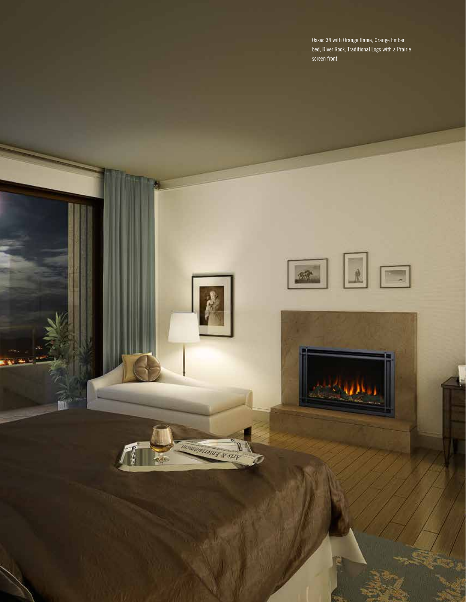Osseo 34 with Orange flame, Orange Ember bed, River Rock, Traditional Logs with a Prairie screen front

BE

**6**

W

manager and st stry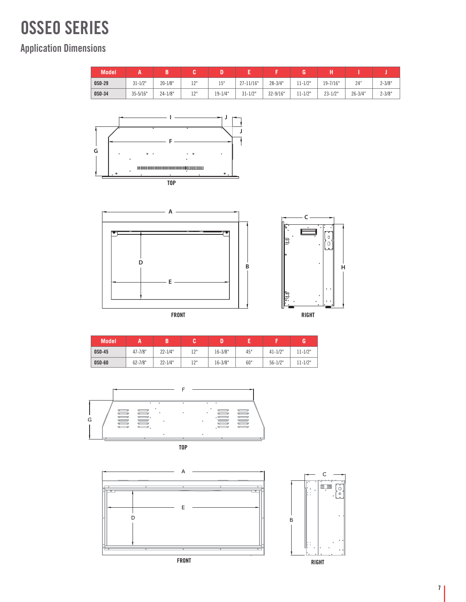### **Application Dimensions**

| Model         |              |             |           |             |               |              |             |              |             |            |
|---------------|--------------|-------------|-----------|-------------|---------------|--------------|-------------|--------------|-------------|------------|
| <b>OSO-29</b> | $31 - 1/2"$  | $20 - 1/8"$ | וו ה<br>ᆠ | 15"<br>ιJ   | $27 - 11/16"$ | $28 - 3/4"$  | $11 - 1/2"$ | $19 - 7/16"$ | 24"         | $2 - 3/8"$ |
| <b>OSO-34</b> | $35 - 5/16"$ | $24 - 1/8"$ | 101<br>ᆠ  | $19 - 1/4"$ | $31 - 1/2"$   | $32 - 9/16"$ | $11 - 1/2"$ | $23 - 1/2"$  | $26 - 3/4"$ | $2 - 3/8"$ |

![](_page_6_Figure_3.jpeg)

![](_page_6_Figure_4.jpeg)

![](_page_6_Figure_5.jpeg)

| <b>Model</b>  |             |             |     |             |     |             |             |
|---------------|-------------|-------------|-----|-------------|-----|-------------|-------------|
| <b>OSO-45</b> | $47 - 7/8"$ | $22 - 1/4"$ | 12" | $16 - 3/8"$ | 45" | $41 - 1/2"$ | $11 - 1/2"$ |
| <b>0SO-60</b> | $62 - 7/8"$ | $22 - 1/4"$ | 12" | $16 - 3/8"$ | 60" | $56 - 1/2"$ | $11 - 1/2"$ |

![](_page_6_Figure_7.jpeg)

**TOP**

![](_page_6_Figure_9.jpeg)